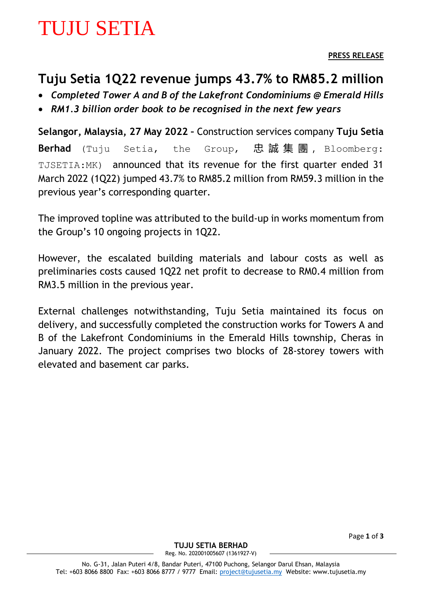# TUJU SETIA

#### **Tuju Setia 1Q22 revenue jumps 43.7% to RM85.2 million**

- *Completed Tower A and B of the Lakefront Condominiums @ Emerald Hills*
- *RM1.3 billion order book to be recognised in the next few years*

**Selangor, Malaysia, 27 May 2022 –** Construction services company **Tuju Setia Berhad** (Tuju Setia, the Group, 忠誠集團, Bloomberg: TJSETIA:MK) announced that its revenue for the first quarter ended 31 March 2022 (1Q22) jumped 43.7% to RM85.2 million from RM59.3 million in the previous year's corresponding quarter.

The improved topline was attributed to the build-up in works momentum from the Group's 10 ongoing projects in 1Q22.

However, the escalated building materials and labour costs as well as preliminaries costs caused 1Q22 net profit to decrease to RM0.4 million from RM3.5 million in the previous year.

External challenges notwithstanding, Tuju Setia maintained its focus on delivery, and successfully completed the construction works for Towers A and B of the Lakefront Condominiums in the Emerald Hills township, Cheras in January 2022. The project comprises two blocks of 28-storey towers with elevated and basement car parks.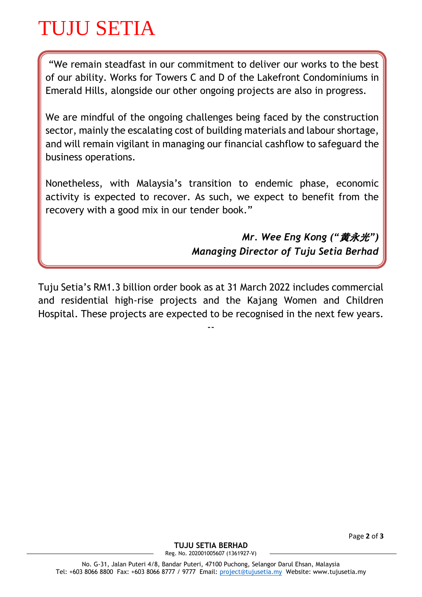## TUJU SETIA

"We remain steadfast in our commitment to deliver our works to the best of our ability. Works for Towers C and D of the Lakefront Condominiums in Emerald Hills, alongside our other ongoing projects are also in progress.

We are mindful of the ongoing challenges being faced by the construction sector, mainly the escalating cost of building materials and labour shortage, and will remain vigilant in managing our financial cashflow to safeguard the business operations.

Nonetheless, with Malaysia's transition to endemic phase, economic activity is expected to recover. As such, we expect to benefit from the recovery with a good mix in our tender book."

> *Mr. Wee Eng Kong ("*黄永光*") Managing Director of Tuju Setia Berhad*

Tuju Setia's RM1.3 billion order book as at 31 March 2022 includes commercial and residential high-rise projects and the Kajang Women and Children Hospital. These projects are expected to be recognised in the next few years.

--

Page **2** of **3**